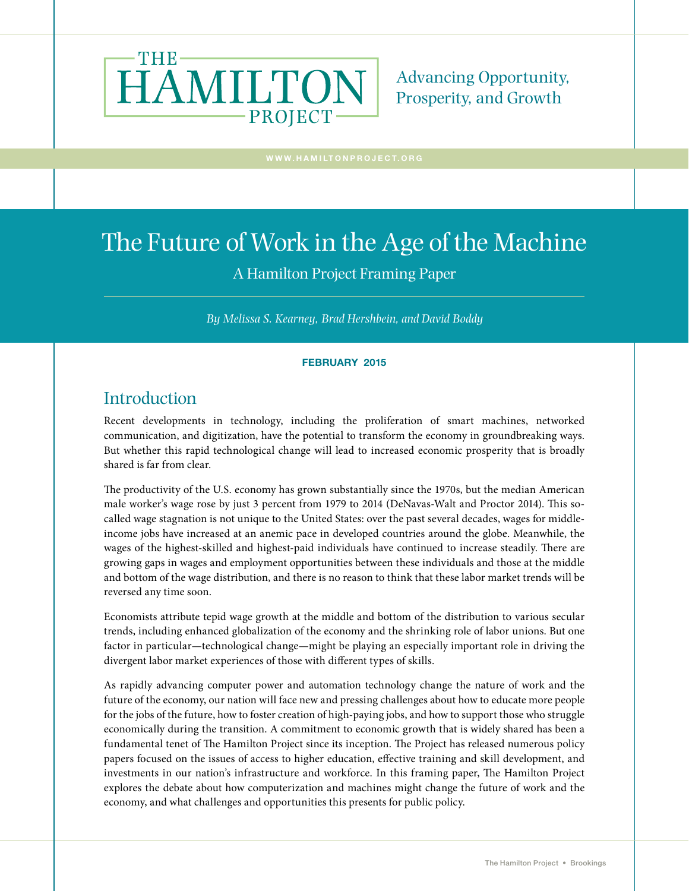

Advancing Opportunity, Prosperity, and Growth

# The Future of Work in the Age of the Machine

### A Hamilton Project Framing Paper

*By Melissa S. Kearney, Brad Hershbein, and David Boddy*

#### FEBRUARY 2015

### **Introduction**

Recent developments in technology, including the proliferation of smart machines, networked communication, and digitization, have the potential to transform the economy in groundbreaking ways. But whether this rapid technological change will lead to increased economic prosperity that is broadly shared is far from clear.

The productivity of the U.S. economy has grown substantially since the 1970s, but the median American male worker's wage rose by just 3 percent from 1979 to 2014 (DeNavas-Walt and Proctor 2014). This socalled wage stagnation is not unique to the United States: over the past several decades, wages for middleincome jobs have increased at an anemic pace in developed countries around the globe. Meanwhile, the wages of the highest-skilled and highest-paid individuals have continued to increase steadily. There are growing gaps in wages and employment opportunities between these individuals and those at the middle and bottom of the wage distribution, and there is no reason to think that these labor market trends will be reversed any time soon.

Economists attribute tepid wage growth at the middle and bottom of the distribution to various secular trends, including enhanced globalization of the economy and the shrinking role of labor unions. But one factor in particular—technological change—might be playing an especially important role in driving the divergent labor market experiences of those with different types of skills.

As rapidly advancing computer power and automation technology change the nature of work and the future of the economy, our nation will face new and pressing challenges about how to educate more people for the jobs of the future, how to foster creation of high-paying jobs, and how to support those who struggle economically during the transition. A commitment to economic growth that is widely shared has been a fundamental tenet of The Hamilton Project since its inception. The Project has released numerous policy papers focused on the issues of access to higher education, effective training and skill development, and investments in our nation's infrastructure and workforce. In this framing paper, The Hamilton Project explores the debate about how computerization and machines might change the future of work and the economy, and what challenges and opportunities this presents for public policy.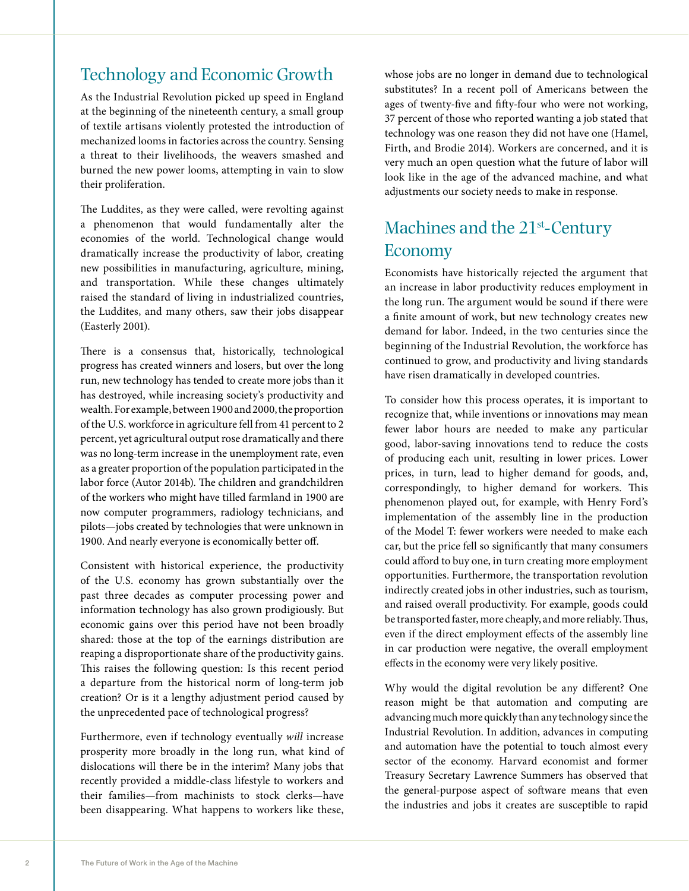### Technology and Economic Growth

As the Industrial Revolution picked up speed in England at the beginning of the nineteenth century, a small group of textile artisans violently protested the introduction of mechanized looms in factories across the country. Sensing a threat to their livelihoods, the weavers smashed and burned the new power looms, attempting in vain to slow their proliferation.

The Luddites, as they were called, were revolting against a phenomenon that would fundamentally alter the economies of the world. Technological change would dramatically increase the productivity of labor, creating new possibilities in manufacturing, agriculture, mining, and transportation. While these changes ultimately raised the standard of living in industrialized countries, the Luddites, and many others, saw their jobs disappear (Easterly 2001).

There is a consensus that, historically, technological progress has created winners and losers, but over the long run, new technology has tended to create more jobs than it has destroyed, while increasing society's productivity and wealth. For example, between 1900 and 2000, the proportion of the U.S. workforce in agriculture fell from 41 percent to 2 percent, yet agricultural output rose dramatically and there was no long-term increase in the unemployment rate, even as a greater proportion of the population participated in the labor force (Autor 2014b). The children and grandchildren of the workers who might have tilled farmland in 1900 are now computer programmers, radiology technicians, and pilots—jobs created by technologies that were unknown in 1900. And nearly everyone is economically better off.

Consistent with historical experience, the productivity of the U.S. economy has grown substantially over the past three decades as computer processing power and information technology has also grown prodigiously. But economic gains over this period have not been broadly shared: those at the top of the earnings distribution are reaping a disproportionate share of the productivity gains. This raises the following question: Is this recent period a departure from the historical norm of long-term job creation? Or is it a lengthy adjustment period caused by the unprecedented pace of technological progress?

Furthermore, even if technology eventually *will* increase prosperity more broadly in the long run, what kind of dislocations will there be in the interim? Many jobs that recently provided a middle-class lifestyle to workers and their families—from machinists to stock clerks—have been disappearing. What happens to workers like these,

whose jobs are no longer in demand due to technological substitutes? In a recent poll of Americans between the ages of twenty-five and fifty-four who were not working, 37 percent of those who reported wanting a job stated that technology was one reason they did not have one (Hamel, Firth, and Brodie 2014). Workers are concerned, and it is very much an open question what the future of labor will look like in the age of the advanced machine, and what adjustments our society needs to make in response.

# Machines and the 21<sup>st</sup>-Century Economy

Economists have historically rejected the argument that an increase in labor productivity reduces employment in the long run. The argument would be sound if there were a finite amount of work, but new technology creates new demand for labor. Indeed, in the two centuries since the beginning of the Industrial Revolution, the workforce has continued to grow, and productivity and living standards have risen dramatically in developed countries.

To consider how this process operates, it is important to recognize that, while inventions or innovations may mean fewer labor hours are needed to make any particular good, labor-saving innovations tend to reduce the costs of producing each unit, resulting in lower prices. Lower prices, in turn, lead to higher demand for goods, and, correspondingly, to higher demand for workers. This phenomenon played out, for example, with Henry Ford's implementation of the assembly line in the production of the Model T: fewer workers were needed to make each car, but the price fell so significantly that many consumers could afford to buy one, in turn creating more employment opportunities. Furthermore, the transportation revolution indirectly created jobs in other industries, such as tourism, and raised overall productivity. For example, goods could be transported faster, more cheaply, and more reliably. Thus, even if the direct employment effects of the assembly line in car production were negative, the overall employment effects in the economy were very likely positive.

Why would the digital revolution be any different? One reason might be that automation and computing are advancing much more quickly than any technology since the Industrial Revolution. In addition, advances in computing and automation have the potential to touch almost every sector of the economy. Harvard economist and former Treasury Secretary Lawrence Summers has observed that the general-purpose aspect of software means that even the industries and jobs it creates are susceptible to rapid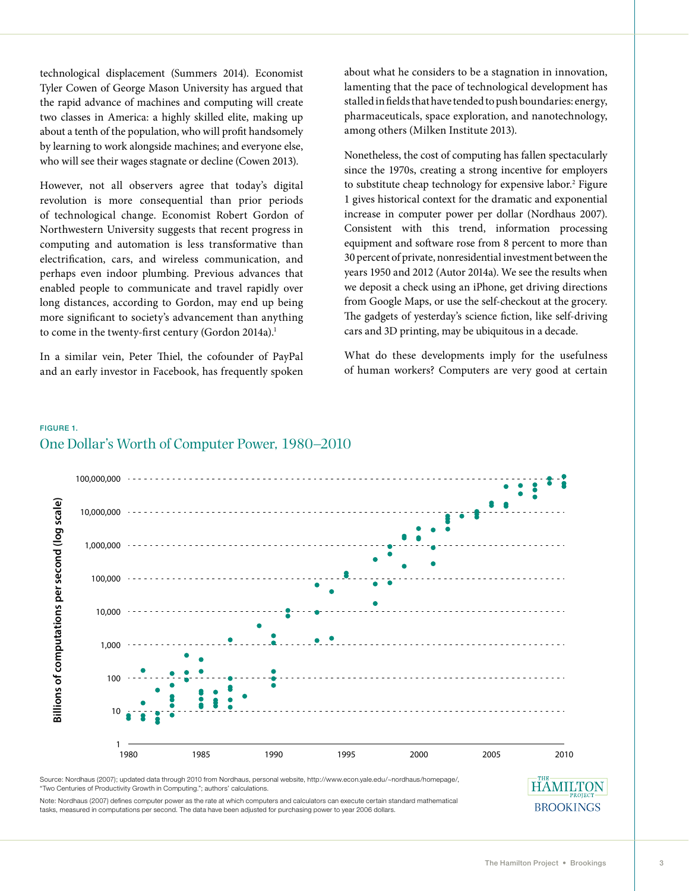technological displacement (Summers 2014). Economist Tyler Cowen of George Mason University has argued that the rapid advance of machines and computing will create two classes in America: a highly skilled elite, making up about a tenth of the population, who will profit handsomely by learning to work alongside machines; and everyone else, who will see their wages stagnate or decline (Cowen 2013).

However, not all observers agree that today's digital revolution is more consequential than prior periods of technological change. Economist Robert Gordon of Northwestern University suggests that recent progress in computing and automation is less transformative than electrification, cars, and wireless communication, and perhaps even indoor plumbing. Previous advances that enabled people to communicate and travel rapidly over long distances, according to Gordon, may end up being more significant to society's advancement than anything to come in the twenty-first century (Gordon 2014a).<sup>1</sup>

In a similar vein, Peter Thiel, the cofounder of PayPal and an early investor in Facebook, has frequently spoken about what he considers to be a stagnation in innovation, lamenting that the pace of technological development has stalled in fields that have tended to push boundaries: energy, pharmaceuticals, space exploration, and nanotechnology, among others (Milken Institute 2013).

Nonetheless, the cost of computing has fallen spectacularly since the 1970s, creating a strong incentive for employers to substitute cheap technology for expensive labor.<sup>2</sup> Figure 1 gives historical context for the dramatic and exponential increase in computer power per dollar (Nordhaus 2007). Consistent with this trend, information processing equipment and software rose from 8 percent to more than 30 percent of private, nonresidential investment between the years 1950 and 2012 (Autor 2014a). We see the results when we deposit a check using an iPhone, get driving directions from Google Maps, or use the self-checkout at the grocery. The gadgets of yesterday's science fiction, like self-driving cars and 3D printing, may be ubiquitous in a decade.

What do these developments imply for the usefulness of human workers? Computers are very good at certain





"Two Centuries of Productivity Growth in Computing."; authors' calculations.

Note: Nordhaus (2007) defines computer power as the rate at which computers and calculators can execute certain standard mathematical tasks, measured in computations per second. The data have been adjusted for purchasing power to year 2006 dollars.

**BROOKINGS**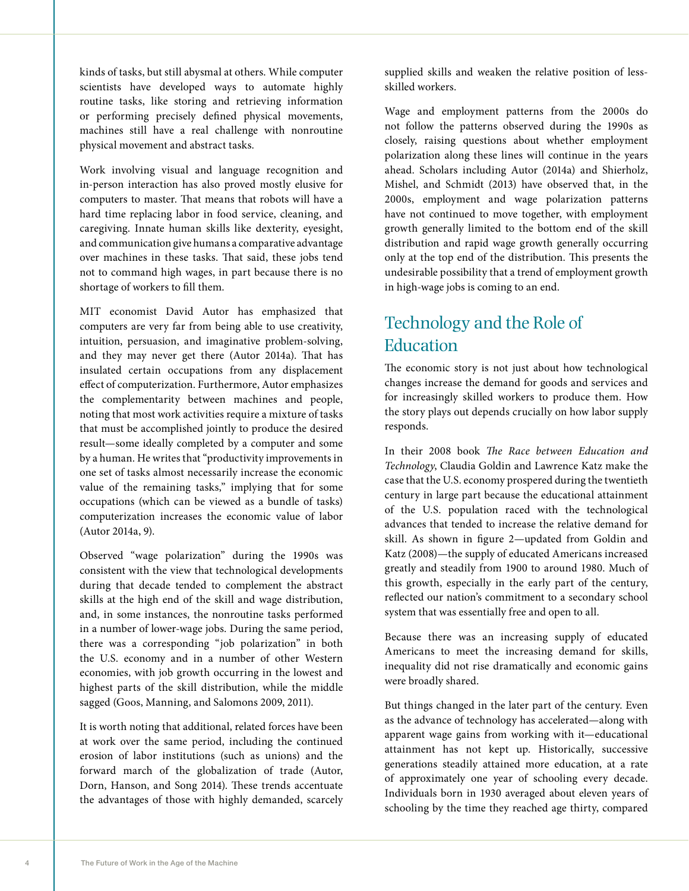kinds of tasks, but still abysmal at others. While computer scientists have developed ways to automate highly routine tasks, like storing and retrieving information or performing precisely defined physical movements, machines still have a real challenge with nonroutine physical movement and abstract tasks.

Work involving visual and language recognition and in-person interaction has also proved mostly elusive for computers to master. That means that robots will have a hard time replacing labor in food service, cleaning, and caregiving. Innate human skills like dexterity, eyesight, and communication give humans a comparative advantage over machines in these tasks. That said, these jobs tend not to command high wages, in part because there is no shortage of workers to fill them.

MIT economist David Autor has emphasized that computers are very far from being able to use creativity, intuition, persuasion, and imaginative problem-solving, and they may never get there (Autor 2014a). That has insulated certain occupations from any displacement effect of computerization. Furthermore, Autor emphasizes the complementarity between machines and people, noting that most work activities require a mixture of tasks that must be accomplished jointly to produce the desired result—some ideally completed by a computer and some by a human. He writes that "productivity improvements in one set of tasks almost necessarily increase the economic value of the remaining tasks," implying that for some occupations (which can be viewed as a bundle of tasks) computerization increases the economic value of labor (Autor 2014a, 9).

Observed "wage polarization" during the 1990s was consistent with the view that technological developments during that decade tended to complement the abstract skills at the high end of the skill and wage distribution, and, in some instances, the nonroutine tasks performed in a number of lower-wage jobs. During the same period, there was a corresponding "job polarization" in both the U.S. economy and in a number of other Western economies, with job growth occurring in the lowest and highest parts of the skill distribution, while the middle sagged (Goos, Manning, and Salomons 2009, 2011).

It is worth noting that additional, related forces have been at work over the same period, including the continued erosion of labor institutions (such as unions) and the forward march of the globalization of trade (Autor, Dorn, Hanson, and Song 2014). These trends accentuate the advantages of those with highly demanded, scarcely

supplied skills and weaken the relative position of lessskilled workers.

Wage and employment patterns from the 2000s do not follow the patterns observed during the 1990s as closely, raising questions about whether employment polarization along these lines will continue in the years ahead. Scholars including Autor (2014a) and Shierholz, Mishel, and Schmidt (2013) have observed that, in the 2000s, employment and wage polarization patterns have not continued to move together, with employment growth generally limited to the bottom end of the skill distribution and rapid wage growth generally occurring only at the top end of the distribution. This presents the undesirable possibility that a trend of employment growth in high-wage jobs is coming to an end.

# Technology and the Role of Education

The economic story is not just about how technological changes increase the demand for goods and services and for increasingly skilled workers to produce them. How the story plays out depends crucially on how labor supply responds.

In their 2008 book *The Race between Education and Technology*, Claudia Goldin and Lawrence Katz make the case that the U.S. economy prospered during the twentieth century in large part because the educational attainment of the U.S. population raced with the technological advances that tended to increase the relative demand for skill. As shown in figure 2—updated from Goldin and Katz (2008)—the supply of educated Americans increased greatly and steadily from 1900 to around 1980. Much of this growth, especially in the early part of the century, reflected our nation's commitment to a secondary school system that was essentially free and open to all.

Because there was an increasing supply of educated Americans to meet the increasing demand for skills, inequality did not rise dramatically and economic gains were broadly shared.

But things changed in the later part of the century. Even as the advance of technology has accelerated—along with apparent wage gains from working with it—educational attainment has not kept up. Historically, successive generations steadily attained more education, at a rate of approximately one year of schooling every decade. Individuals born in 1930 averaged about eleven years of schooling by the time they reached age thirty, compared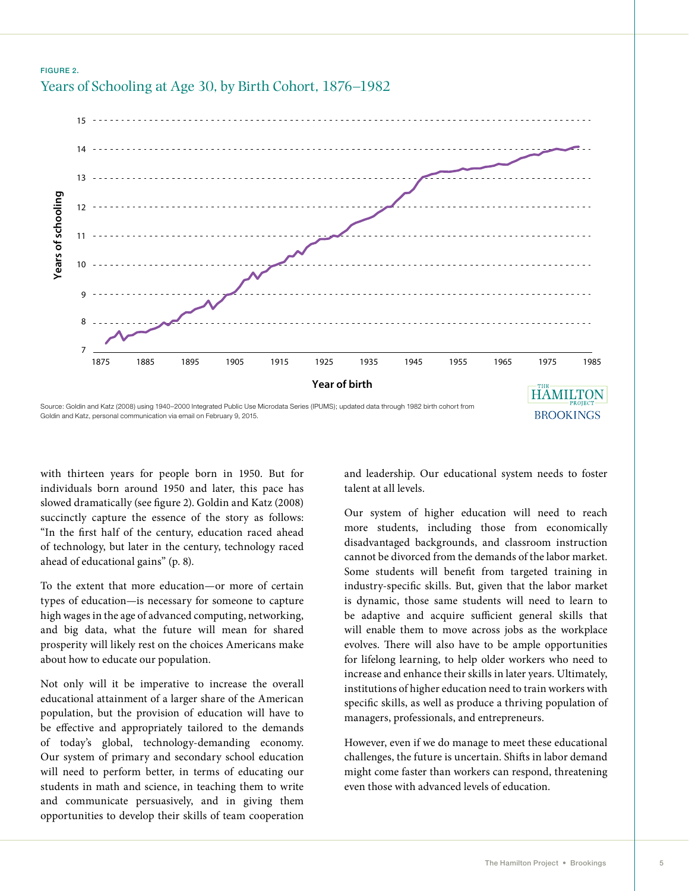#### FIGURE 2. Years of Schooling at Age 30, by Birth Cohort, 1876–1982



Goldin and Katz, personal communication via email on February 9, 2015.

with thirteen years for people born in 1950. But for individuals born around 1950 and later, this pace has slowed dramatically (see figure 2). Goldin and Katz (2008) succinctly capture the essence of the story as follows: "In the first half of the century, education raced ahead of technology, but later in the century, technology raced ahead of educational gains" (p. 8).

To the extent that more education—or more of certain types of education—is necessary for someone to capture high wages in the age of advanced computing, networking, and big data, what the future will mean for shared prosperity will likely rest on the choices Americans make about how to educate our population.

Not only will it be imperative to increase the overall educational attainment of a larger share of the American population, but the provision of education will have to be effective and appropriately tailored to the demands of today's global, technology-demanding economy. Our system of primary and secondary school education will need to perform better, in terms of educating our students in math and science, in teaching them to write and communicate persuasively, and in giving them opportunities to develop their skills of team cooperation

and leadership. Our educational system needs to foster talent at all levels.

Our system of higher education will need to reach more students, including those from economically disadvantaged backgrounds, and classroom instruction cannot be divorced from the demands of the labor market. Some students will benefit from targeted training in industry-specific skills. But, given that the labor market is dynamic, those same students will need to learn to be adaptive and acquire sufficient general skills that will enable them to move across jobs as the workplace evolves. There will also have to be ample opportunities for lifelong learning, to help older workers who need to increase and enhance their skills in later years. Ultimately, institutions of higher education need to train workers with specific skills, as well as produce a thriving population of managers, professionals, and entrepreneurs.

However, even if we do manage to meet these educational challenges, the future is uncertain. Shifts in labor demand might come faster than workers can respond, threatening even those with advanced levels of education.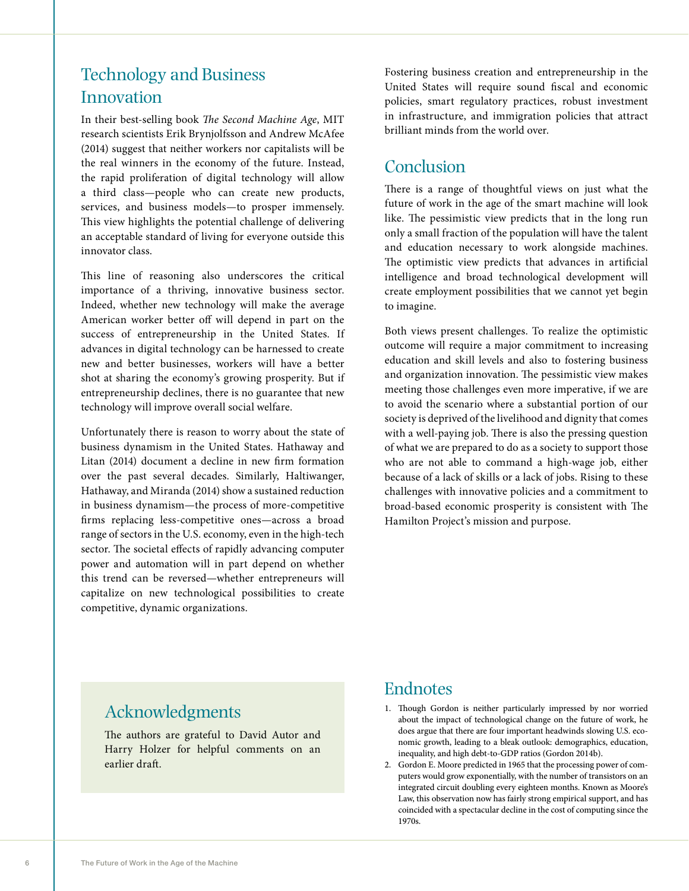# Technology and Business Innovation

In their best-selling book *The Second Machine Age*, MIT research scientists Erik Brynjolfsson and Andrew McAfee (2014) suggest that neither workers nor capitalists will be the real winners in the economy of the future. Instead, the rapid proliferation of digital technology will allow a third class—people who can create new products, services, and business models—to prosper immensely. This view highlights the potential challenge of delivering an acceptable standard of living for everyone outside this innovator class.

This line of reasoning also underscores the critical importance of a thriving, innovative business sector. Indeed, whether new technology will make the average American worker better off will depend in part on the success of entrepreneurship in the United States. If advances in digital technology can be harnessed to create new and better businesses, workers will have a better shot at sharing the economy's growing prosperity. But if entrepreneurship declines, there is no guarantee that new technology will improve overall social welfare.

Unfortunately there is reason to worry about the state of business dynamism in the United States. Hathaway and Litan (2014) document a decline in new firm formation over the past several decades. Similarly, Haltiwanger, Hathaway, and Miranda (2014) show a sustained reduction in business dynamism—the process of more-competitive firms replacing less-competitive ones—across a broad range of sectors in the U.S. economy, even in the high-tech sector. The societal effects of rapidly advancing computer power and automation will in part depend on whether this trend can be reversed—whether entrepreneurs will capitalize on new technological possibilities to create competitive, dynamic organizations.

Fostering business creation and entrepreneurship in the United States will require sound fiscal and economic policies, smart regulatory practices, robust investment in infrastructure, and immigration policies that attract brilliant minds from the world over.

### Conclusion

There is a range of thoughtful views on just what the future of work in the age of the smart machine will look like. The pessimistic view predicts that in the long run only a small fraction of the population will have the talent and education necessary to work alongside machines. The optimistic view predicts that advances in artificial intelligence and broad technological development will create employment possibilities that we cannot yet begin to imagine.

Both views present challenges. To realize the optimistic outcome will require a major commitment to increasing education and skill levels and also to fostering business and organization innovation. The pessimistic view makes meeting those challenges even more imperative, if we are to avoid the scenario where a substantial portion of our society is deprived of the livelihood and dignity that comes with a well-paying job. There is also the pressing question of what we are prepared to do as a society to support those who are not able to command a high-wage job, either because of a lack of skills or a lack of jobs. Rising to these challenges with innovative policies and a commitment to broad-based economic prosperity is consistent with The Hamilton Project's mission and purpose.

### Acknowledgments

The authors are grateful to David Autor and Harry Holzer for helpful comments on an earlier draft.

## Endnotes

- 1. Though Gordon is neither particularly impressed by nor worried about the impact of technological change on the future of work, he does argue that there are four important headwinds slowing U.S. economic growth, leading to a bleak outlook: demographics, education, inequality, and high debt-to-GDP ratios (Gordon 2014b).
- 2. Gordon E. Moore predicted in 1965 that the processing power of computers would grow exponentially, with the number of transistors on an integrated circuit doubling every eighteen months. Known as Moore's Law, this observation now has fairly strong empirical support, and has coincided with a spectacular decline in the cost of computing since the 1970s.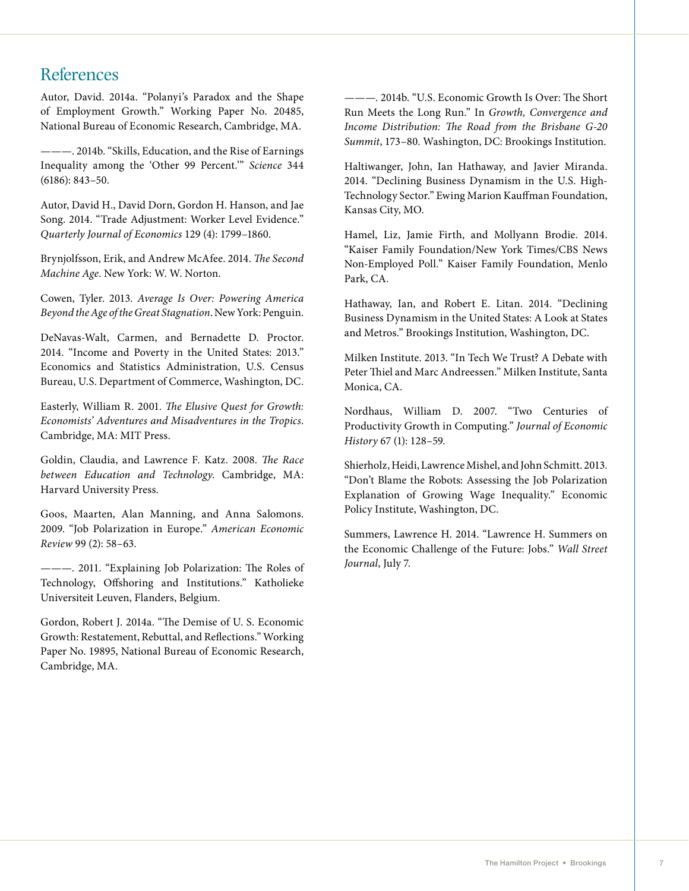### References

Autor, David. 2014a. "Polanyi's Paradox and the Shape of Employment Growth." Working Paper No. 20485, National Bureau of Economic Research, Cambridge, MA.

———. 2014b. "Skills, Education, and the Rise of Earnings Inequality among the 'Other 99 Percent.'" *Science* 344 (6186): 843–50.

Autor, David H., David Dorn, Gordon H. Hanson, and Jae Song. 2014. "Trade Adjustment: Worker Level Evidence." *Quarterly Journal of Economics* 129 (4): 1799–1860.

Brynjolfsson, Erik, and Andrew McAfee. 2014. *The Second Machine Age*. New York: W. W. Norton.

Cowen, Tyler. 2013. *Average Is Over: Powering America Beyond the Age of the Great Stagnation*. New York: Penguin.

DeNavas-Walt, Carmen, and Bernadette D. Proctor. 2014. "Income and Poverty in the United States: 2013." Economics and Statistics Administration, U.S. Census Bureau, U.S. Department of Commerce, Washington, DC.

Easterly, William R. 2001. *The Elusive Quest for Growth: Economists' Adventures and Misadventures in the Tropics*. Cambridge, MA: MIT Press.

Goldin, Claudia, and Lawrence F. Katz. 2008. *The Race between Education and Technology*. Cambridge, MA: Harvard University Press.

Goos, Maarten, Alan Manning, and Anna Salomons. 2009. "Job Polarization in Europe." *American Economic Review* 99 (2): 58–63.

———. 2011. "Explaining Job Polarization: The Roles of Technology, Offshoring and Institutions." Katholieke Universiteit Leuven, Flanders, Belgium.

Gordon, Robert J. 2014a. "The Demise of U. S. Economic Growth: Restatement, Rebuttal, and Reflections." Working Paper No. 19895, National Bureau of Economic Research, Cambridge, MA.

———. 2014b. "U.S. Economic Growth Is Over: The Short Run Meets the Long Run." In *Growth, Convergence and Income Distribution: The Road from the Brisbane G-20 Summit*, 173–80. Washington, DC: Brookings Institution.

Haltiwanger, John, Ian Hathaway, and Javier Miranda. 2014. "Declining Business Dynamism in the U.S. High-Technology Sector." Ewing Marion Kauffman Foundation, Kansas City, MO.

Hamel, Liz, Jamie Firth, and Mollyann Brodie. 2014. "Kaiser Family Foundation/New York Times/CBS News Non-Employed Poll." Kaiser Family Foundation, Menlo Park, CA.

Hathaway, Ian, and Robert E. Litan. 2014. "Declining Business Dynamism in the United States: A Look at States and Metros." Brookings Institution, Washington, DC.

Milken Institute. 2013. "In Tech We Trust? A Debate with Peter Thiel and Marc Andreessen." Milken Institute, Santa Monica, CA.

Nordhaus, William D. 2007. "Two Centuries of Productivity Growth in Computing." *Journal of Economic History* 67 (1): 128–59.

Shierholz, Heidi, Lawrence Mishel, and John Schmitt. 2013. "Don't Blame the Robots: Assessing the Job Polarization Explanation of Growing Wage Inequality." Economic Policy Institute, Washington, DC.

Summers, Lawrence H. 2014. "Lawrence H. Summers on the Economic Challenge of the Future: Jobs." *Wall Street Journal*, July 7.